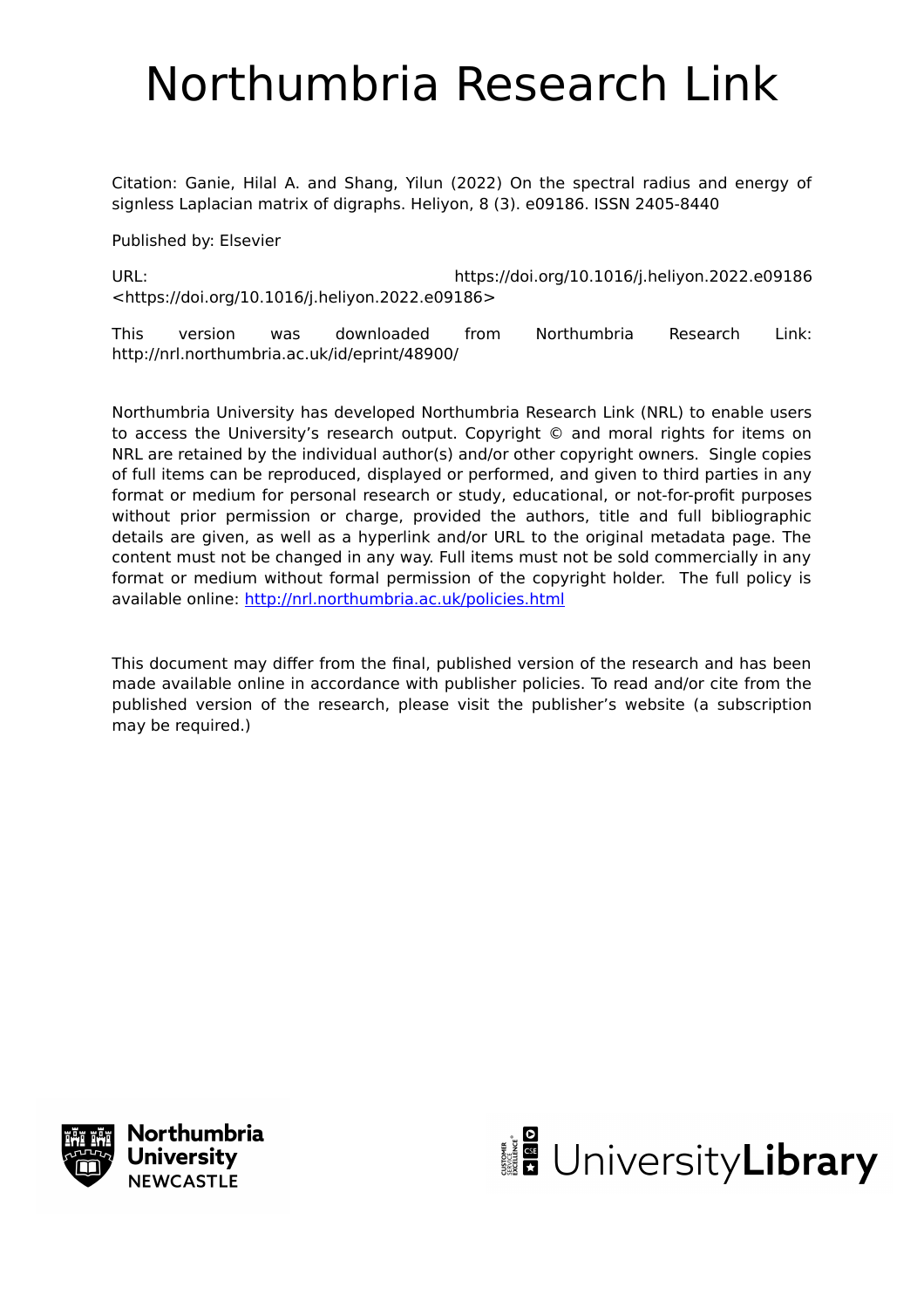# Northumbria Research Link

Citation: Ganie, Hilal A. and Shang, Yilun (2022) On the spectral radius and energy of signless Laplacian matrix of digraphs. Heliyon, 8 (3). e09186. ISSN 2405-8440

Published by: Elsevier

URL: https://doi.org/10.1016/j.heliyon.2022.e09186 <https://doi.org/10.1016/j.heliyon.2022.e09186>

This version was downloaded from Northumbria Research Link: http://nrl.northumbria.ac.uk/id/eprint/48900/

Northumbria University has developed Northumbria Research Link (NRL) to enable users to access the University's research output. Copyright © and moral rights for items on NRL are retained by the individual author(s) and/or other copyright owners. Single copies of full items can be reproduced, displayed or performed, and given to third parties in any format or medium for personal research or study, educational, or not-for-profit purposes without prior permission or charge, provided the authors, title and full bibliographic details are given, as well as a hyperlink and/or URL to the original metadata page. The content must not be changed in any way. Full items must not be sold commercially in any format or medium without formal permission of the copyright holder. The full policy is available online:<http://nrl.northumbria.ac.uk/policies.html>

This document may differ from the final, published version of the research and has been made available online in accordance with publisher policies. To read and/or cite from the published version of the research, please visit the publisher's website (a subscription may be required.)



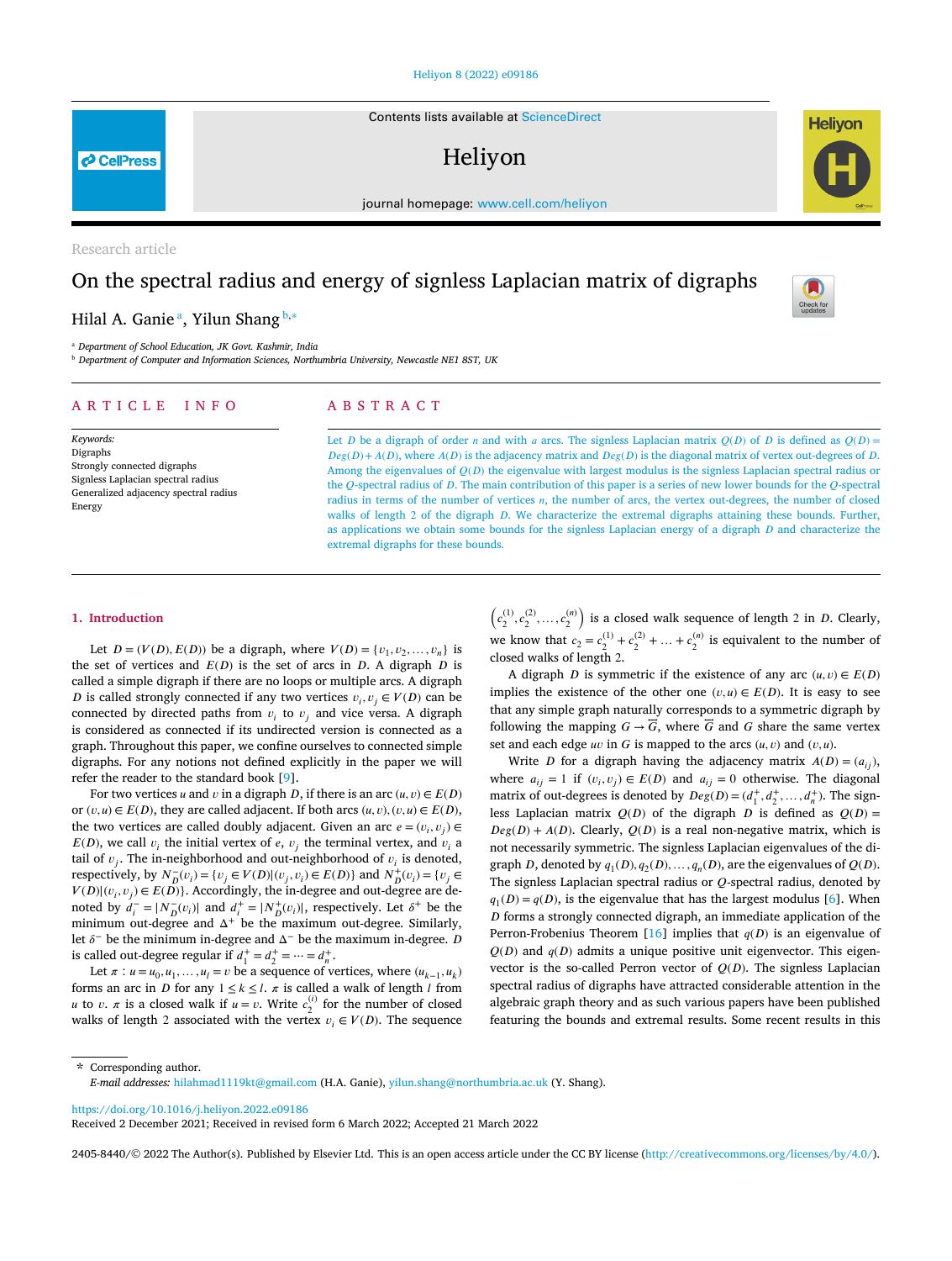Contents lists available at [ScienceDirect](http://www.ScienceDirect.com/)

# Heliyon

journal homepage: [www.cell.com/heliyon](http://www.cell.com/heliyon)

Research article

**P** CellPress

## On the spectral radius and energy of signless Laplacian matrix of digraphs

### Hilal A. Ganie <sup>a</sup>, Yilun Shang <sup>b</sup>*,*<sup>∗</sup>

<sup>a</sup> *Department of School Education, JK Govt. Kashmir, India*

<sup>b</sup> *Department of Computer and Information Sciences, Northumbria University, Newcastle NE1 8ST, UK*

#### A R T I C L E I N F O A B S T R A C T

*Keywords:* Digraphs Strongly connected digraphs Signless Laplacian spectral radius Generalized adjacency spectral radius Energy

Let *D* be a digraph of order *n* and with *a* arcs. The signless Laplacian matrix  $Q(D)$  of *D* is defined as  $Q(D)$  =  $Deg(D) + A(D)$ , where  $A(D)$  is the adjacency matrix and  $Deg(D)$  is the diagonal matrix of vertex out-degrees of D. Among the eigenvalues of  $Q(D)$  the eigenvalue with largest modulus is the signless Laplacian spectral radius or the  $Q$ -spectral radius of  $D$ . The main contribution of this paper is a series of new lower bounds for the  $Q$ -spectral radius in terms of the number of vertices  $n$ , the number of arcs, the vertex out-degrees, the number of closed walks of length 2 of the digraph  $D$ . We characterize the extremal digraphs attaining these bounds. Further, as applications we obtain some bounds for the signless Laplacian energy of a digraph  $D$  and characterize the extremal digraphs for these bounds.

#### **1. Introduction**

Let  $D = (V(D), E(D))$  be a digraph, where  $V(D) = \{v_1, v_2, ..., v_n\}$  is the set of vertices and  $E(D)$  is the set of arcs in  $D$ . A digraph  $D$  is called a simple digraph if there are no loops or multiple arcs. A digraph *D* is called strongly connected if any two vertices  $v_i, v_j \in V(D)$  can be connected by directed paths from  $v_i$  to  $v_j$  and vice versa. A digraph is considered as connected if its undirected version is connected as a graph. Throughout this paper, we confine ourselves to connected simple digraphs. For any notions not defined explicitly in the paper we will refer the reader to the standard book [[9](#page-6-0)].

For two vertices *u* and *v* in a digraph *D*, if there is an arc  $(u, v) \in E(D)$ or  $(v, u) \in E(D)$ , they are called adjacent. If both arcs  $(u, v), (v, u) \in E(D)$ , the two vertices are called doubly adjacent. Given an arc  $e = (v_i, v_j) \in$  $E(D)$ , we call  $v_i$  the initial vertex of e,  $v_i$  the terminal vertex, and  $v_i$  a tail of  $v_i$ . The in-neighborhood and out-neighborhood of  $v_i$  is denoted, respectively, by  $N_{D}^{-}(v_i) = \{v_j \in V(D) | (v_j, v_i) \in E(D) \}$  and  $N_{D}^{+}(v_i) = \{v_j \in E(D) \}$  $V(D)| (v_i, v_j) \in E(D)$ . Accordingly, the in-degree and out-degree are denoted by  $d_i^- = |N_D^-(v_i)|$  and  $d_i^+ = |N_D^+(v_i)|$ , respectively. Let  $\delta^+$  be the minimum out-degree and  $\Delta^+$  be the maximum out-degree. Similarly, let  $\delta^-$  be the minimum in-degree and  $\Delta^-$  be the maximum in-degree. *D* is called out-degree regular if  $d_1^+ = d_2^+ = \cdots = d_n^+$ .

Let  $\pi$  :  $u = u_0, u_1, \ldots, u_l = v$  be a sequence of vertices, where  $(u_{k-1}, u_k)$ forms an arc in *D* for any  $1 \le k \le l$ .  $\pi$  is called a walk of length *l* from *u* to *v*. *π* is a closed walk if  $u = v$ . Write  $c_2^{(i)}$  for the number of closed walks of length 2 associated with the vertex  $v_i \in V(D)$ . The sequence

 $c_2^{(1)}, c_2^{(2)}, \ldots, c_2^{(n)}$  is a closed walk sequence of length 2 in *D*. Clearly, we know that  $c_2 = c_2^{(1)} + c_2^{(2)} + ... + c_2^{(n)}$  is equivalent to the number of closed walks of length 2.

A digraph *D* is symmetric if the existence of any arc  $(u, v) \in E(D)$ implies the existence of the other one  $(v, u) \in E(D)$ . It is easy to see that any simple graph naturally corresponds to a symmetric digraph by following the mapping  $G \rightarrow \overline{G}$ , where  $\overline{G}$  and  $G$  share the same vertex set and each edge  $uv$  in  $G$  is mapped to the arcs  $(u, v)$  and  $(v, u)$ .

Write *D* for a digraph having the adjacency matrix  $A(D) = (a_{ij})$ , where  $a_{ij} = 1$  if  $(v_i, v_j) \in E(D)$  and  $a_{ij} = 0$  otherwise. The diagonal matrix of out-degrees is denoted by  $Deg(D) = (d_1^+, d_2^+, ..., d_n^+)$ . The signless Laplacian matrix  $Q(D)$  of the digraph  $D$  is defined as  $Q(D) =$  $Deg(D) + A(D)$ . Clearly,  $Q(D)$  is a real non-negative matrix, which is not necessarily symmetric. The signless Laplacian eigenvalues of the digraph *D*, denoted by  $q_1(D), q_2(D), \ldots, q_n(D)$ , are the eigenvalues of  $Q(D)$ . The signless Laplacian spectral radius or  $Q$ -spectral radius, denoted by  $q_1(D) = q(D)$ , is the eigenvalue that has the largest modulus [[6](#page-6-0)]. When  $D$  forms a strongly connected digraph, an immediate application of the Perron-Frobenius Theorem [\[16\]](#page-6-0) implies that  $q(D)$  is an eigenvalue of  $Q(D)$  and  $q(D)$  admits a unique positive unit eigenvector. This eigenvector is the so-called Perron vector of  $Q(D)$ . The signless Laplacian spectral radius of digraphs have attracted considerable attention in the algebraic graph theory and as such various papers have been published featuring the bounds and extremal results. Some recent results in this

\* Corresponding author. *E-mail addresses:* [hilahmad1119kt@gmail.com](mailto:hilahmad1119kt@gmail.com) (H.A. Ganie), [yilun.shang@northumbria.ac.uk](mailto:yilun.shang@northumbria.ac.uk) (Y. Shang).

<https://doi.org/10.1016/j.heliyon.2022.e09186>

Received 2 December 2021; Received in revised form 6 March 2022; Accepted 21 March 2022

2405-8440/© 2022 The Author(s). Published by Elsevier Ltd. This is an open access article under the CC BY license ([http://creativecommons.org/licenses/by/4.0/\)](http://creativecommons.org/licenses/by/4.0/).



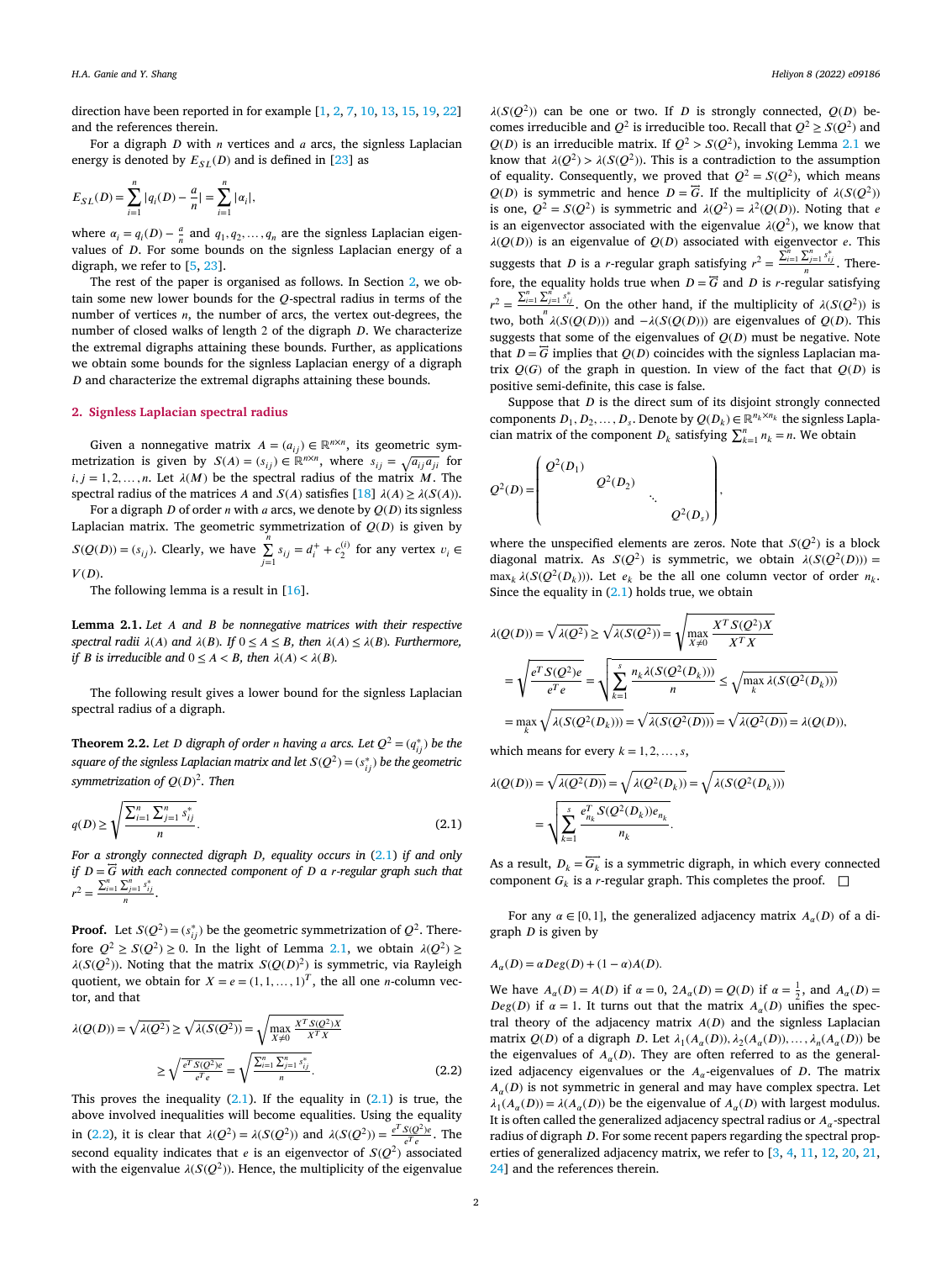<span id="page-2-0"></span>direction have been reported in for example [\[1,](#page-6-0) [2](#page-6-0), [7](#page-6-0), [10](#page-6-0), [13,](#page-6-0) [15,](#page-6-0) [19](#page-6-0), [22](#page-6-0)] and the references therein.

For a digraph  $D$  with  $n$  vertices and  $a$  arcs, the signless Laplacian energy is denoted by  $E_{SL}(D)$  and is defined in [[23\]](#page-6-0) as

$$
E_{SL}(D) = \sum_{i=1}^{n} |q_i(D) - \frac{a}{n}| = \sum_{i=1}^{n} |\alpha_i|,
$$

where  $\alpha_i = q_i(D) - \frac{a}{n}$  and  $q_1, q_2, \dots, q_n$  are the signless Laplacian eigenvalues of  $D$ . For some bounds on the signless Laplacian energy of a digraph, we refer to [[5](#page-6-0), [23\]](#page-6-0).

The rest of the paper is organised as follows. In Section 2, we obtain some new lower bounds for the  $O$ -spectral radius in terms of the number of vertices  $n$ , the number of arcs, the vertex out-degrees, the number of closed walks of length  $2$  of the digraph  $D$ . We characterize the extremal digraphs attaining these bounds. Further, as applications we obtain some bounds for the signless Laplacian energy of a digraph  $D$  and characterize the extremal digraphs attaining these bounds.

#### **2. Signless Laplacian spectral radius**

Given a nonnegative matrix  $A = (a_{ij}) \in \mathbb{R}^{n \times n}$ , its geometric symmetrization is given by  $S(A) = (s_{ij}) \in \mathbb{R}^{n \times n}$ , where  $s_{ij} = \sqrt{a_{ij} a_{ji}}$  for  $i, j = 1, 2, \ldots, n$ . Let  $\lambda(M)$  be the spectral radius of the matrix M. The spectral radius of the matrices A and  $S(A)$  satisfies [\[18](#page-6-0)]  $\lambda(A) \geq \lambda(S(A))$ .

For a digraph  $D$  of order  $n$  with  $a$  arcs, we denote by  $Q(D)$  its signless Laplacian matrix. The geometric symmetrization of  $Q(D)$  is given by  $S(Q(D)) = (s_{ij})$ . Clearly, we have  $\sum_{j=1}^{n} s_{ij} = d_i^+ + c_2^{(i)}$  for any vertex  $v_i \in$  $V(D).$ 

The following lemma is a result in [[16\]](#page-6-0).

**Lemma 2.1.** *Let and be nonnegative matrices with their respective spectral radii*  $\lambda(A)$  *and*  $\lambda(B)$ *. If*  $0 \le A \le B$ *, then*  $\lambda(A) \le \lambda(B)$ *. Furthermore, if B is irreducible* and  $0 \le A < B$ *, then*  $\lambda(A) < \lambda(B)$ *.* 

The following result gives a lower bound for the signless Laplacian spectral radius of a digraph.

**Theorem 2.2.** Let D digraph of order *n* having *a* arcs. Let  $Q^2 = (q_{ij}^*)$  be the  $square$  of the signless Laplacian matrix and let  $S(Q^2) = (s^*_{ij})$  be the geometric *symmetrization of* () <sup>2</sup>*. Then*

$$
q(D) \ge \sqrt{\frac{\sum_{i=1}^{n} \sum_{j=1}^{n} s_{ij}^{*}}{n}}.
$$
\n(2.1)

*For a strongly connected digraph D*, *equality occurs in* (2.1) *if and only if*  $D = \overline{G}$  *with each connected component of*  $D$  *a r-regular graph such that*  $\sum_{n=1}^{n}$  $r^2 = \frac{\sum_{i=1}^n \sum_{j=1}^n s_{ij}^*}{n}.$ 

**Proof.** Let  $S(Q^2) = (s_{ij}^*)$  be the geometric symmetrization of  $Q^2$ . Therefore  $Q^2 \ge S(Q^2) \ge 0$ . In the light of Lemma 2.1, we obtain  $\lambda(Q^2) \ge$  $\lambda(S(Q^2))$ . Noting that the matrix  $S(Q(D)^2)$  is symmetric, via Rayleigh quotient, we obtain for  $X = e = (1, 1, \dots, 1)^T$ , the all one *n*-column vector, and that

$$
\lambda(Q(D)) = \sqrt{\lambda(Q^2)} \ge \sqrt{\lambda(S(Q^2))} = \sqrt{\max_{X \neq 0} \frac{X^T S(Q^2) X}{X^T X}}
$$

$$
\ge \sqrt{\frac{e^T S(Q^2) e}{e^T e}} = \sqrt{\frac{\sum_{i=1}^n \sum_{j=1}^n s_{ij}^*}{n}}.
$$
(2.2)

This proves the inequality  $(2.1)$ . If the equality in  $(2.1)$  is true, the above involved inequalities will become equalities. Using the equality in (2.2), it is clear that  $\lambda(Q^2) = \lambda(S(Q^2))$  and  $\lambda(S(Q^2)) = \frac{e^T S(Q^2)e}{e^T e}$ . The second equality indicates that *e* is an eigenvector of  $S(Q^2)$  associated with the eigenvalue  $\lambda(S(Q^2))$ . Hence, the multiplicity of the eigenvalue

 $\lambda(S(Q^2))$  can be one or two. If D is strongly connected,  $Q(D)$  becomes irreducible and  $Q^2$  is irreducible too. Recall that  $Q^2 \ge S(Q^2)$  and  $Q(D)$  is an irreducible matrix. If  $Q^2 > S(Q^2)$ , invoking Lemma 2.1 we know that  $\lambda(Q^2) > \lambda(S(Q^2))$ . This is a contradiction to the assumption of equality. Consequently, we proved that  $Q^2 = S(Q^2)$ , which means  $Q(D)$  is symmetric and hence  $D = \overline{G}$ . If the multiplicity of  $\lambda(S(Q^2))$ is one,  $Q^2 = S(Q^2)$  is symmetric and  $\lambda(Q^2) = \lambda^2(Q(D))$ . Noting that e is an eigenvector associated with the eigenvalue  $\lambda(Q^2)$ , we know that  $\lambda(Q(D))$  is an eigenvalue of  $Q(D)$  associated with eigenvector e. This suggests that *D* is a *r*-regular graph satisfying  $r^2 =$  $\frac{\sum_{i=1}^{n} \sum_{j=1}^{n} s_{ij}^{*}}{n}$ . Therefore, the equality holds true when  $D = \overline{G}$  and  $D$  is *r*-regular satisfying  $r^2 =$  $\sum_{i=1}^{n} \sum_{j=1}^{n} s_{ij}^{*}$ . On the other hand, if the multiplicity of  $\lambda(S(Q^2))$  is two, both  $\lambda(S(Q(D)))$  and  $-\lambda(S(Q(D)))$  are eigenvalues of  $Q(D)$ . This suggests that some of the eigenvalues of  $Q(D)$  must be negative. Note that  $D = \overline{G}$  implies that  $Q(D)$  coincides with the signless Laplacian matrix  $Q(G)$  of the graph in question. In view of the fact that  $Q(D)$  is positive semi-definite, this case is false.

Suppose that  $D$  is the direct sum of its disjoint strongly connected components  $D_1, D_2, \ldots, D_s$ . Denote by  $Q(D_k) \in \mathbb{R}^{n_k \times n_k}$  the signless Laplacomponents  $D_1, D_2, ..., D_s$ . Denote by  $Q(D_k) \in \mathbb{R}^n \to \infty$  the signess Equinoment  $D_k$  satisfying  $\sum_{k=1}^n n_k = n$ . We obtain

$$
Q^{2}(D) = \begin{pmatrix} Q^{2}(D_{1}) & & & \\ & Q^{2}(D_{2}) & & \\ & & \ddots & \\ & & & Q^{2}(D_{s}) \end{pmatrix},
$$

where the unspecified elements are zeros. Note that  $S(Q^2)$  is a block diagonal matrix. As  $S(Q^2)$  is symmetric, we obtain  $\lambda(S(Q^2(D)))$  =  $\max_k \lambda(S(Q^2(D_k)))$ . Let  $e_k$  be the all one column vector of order  $n_k$ . Since the equality in  $(2.1)$  holds true, we obtain

$$
\lambda(Q(D)) = \sqrt{\lambda(Q^2)} \ge \sqrt{\lambda(S(Q^2))} = \sqrt{\max_{X \ne 0} \frac{X^T S(Q^2) X}{X^T X}}
$$

$$
= \sqrt{\frac{e^T S(Q^2)e}{e^T e}} = \sqrt{\sum_{k=1}^s \frac{n_k \lambda(S(Q^2(D_k)))}{n}} \le \sqrt{\max_k \lambda(S(Q^2(D_k)))}
$$

$$
= \max_k \sqrt{\lambda(S(Q^2(D_k)))} = \sqrt{\lambda(S(Q^2(D)))} = \sqrt{\lambda(Q^2(D))} = \lambda(Q(D)),
$$

which means for every  $k = 1, 2, \ldots, s$ ,

$$
\lambda(Q(D)) = \sqrt{\lambda(Q^2(D))} = \sqrt{\lambda(Q^2(D_k))} = \sqrt{\lambda(S(Q^2(D_k)))}
$$

$$
= \sqrt{\sum_{k=1}^{s} \frac{e_{n_k}^T S(Q^2(D_k))e_{n_k}}{n_k}}.
$$

As a result,  $D_k = \overrightarrow{G_k}$  is a symmetric digraph, in which every connected component  $G_k$  is a *r*-regular graph. This completes the proof.  $\square$ 

For any  $\alpha \in [0, 1]$ , the generalized adjacency matrix  $A_{\alpha}(D)$  of a digraph  $D$  is given by

$$
A_{\alpha}(D) = \alpha Deg(D) + (1 - \alpha)A(D).
$$

We have  $A_{\alpha}(D) = A(D)$  if  $\alpha = 0$ ,  $2A_{\alpha}(D) = Q(D)$  if  $\alpha = \frac{1}{2}$ , and  $A_{\alpha}(D) =$  $Deg(D)$  if  $\alpha = 1$ . It turns out that the matrix  $A_{\alpha}(D)$  unifies the spectral theory of the adjacency matrix  $A(D)$  and the signless Laplacian matrix  $Q(D)$  of a digraph D. Let  $\lambda_1(A_\alpha(D)), \lambda_2(A_\alpha(D)), \ldots, \lambda_n(A_\alpha(D))$  be the eigenvalues of  $A_{\alpha}(D)$ . They are often referred to as the generalized adjacency eigenvalues or the  $A_{\alpha}$ -eigenvalues of D. The matrix  $A_{\alpha}(D)$  is not symmetric in general and may have complex spectra. Let  $\lambda_1(A_\alpha(D)) = \lambda(A_\alpha(D))$  be the eigenvalue of  $A_\alpha(D)$  with largest modulus. It is often called the generalized adjacency spectral radius or  $A_{\alpha}$ -spectral radius of digraph  $D$ . For some recent papers regarding the spectral properties of generalized adjacency matrix, we refer to [\[3,](#page-6-0) [4,](#page-6-0) [11](#page-6-0), [12,](#page-6-0) [20](#page-6-0), [21](#page-6-0), [24\]](#page-6-0) and the references therein.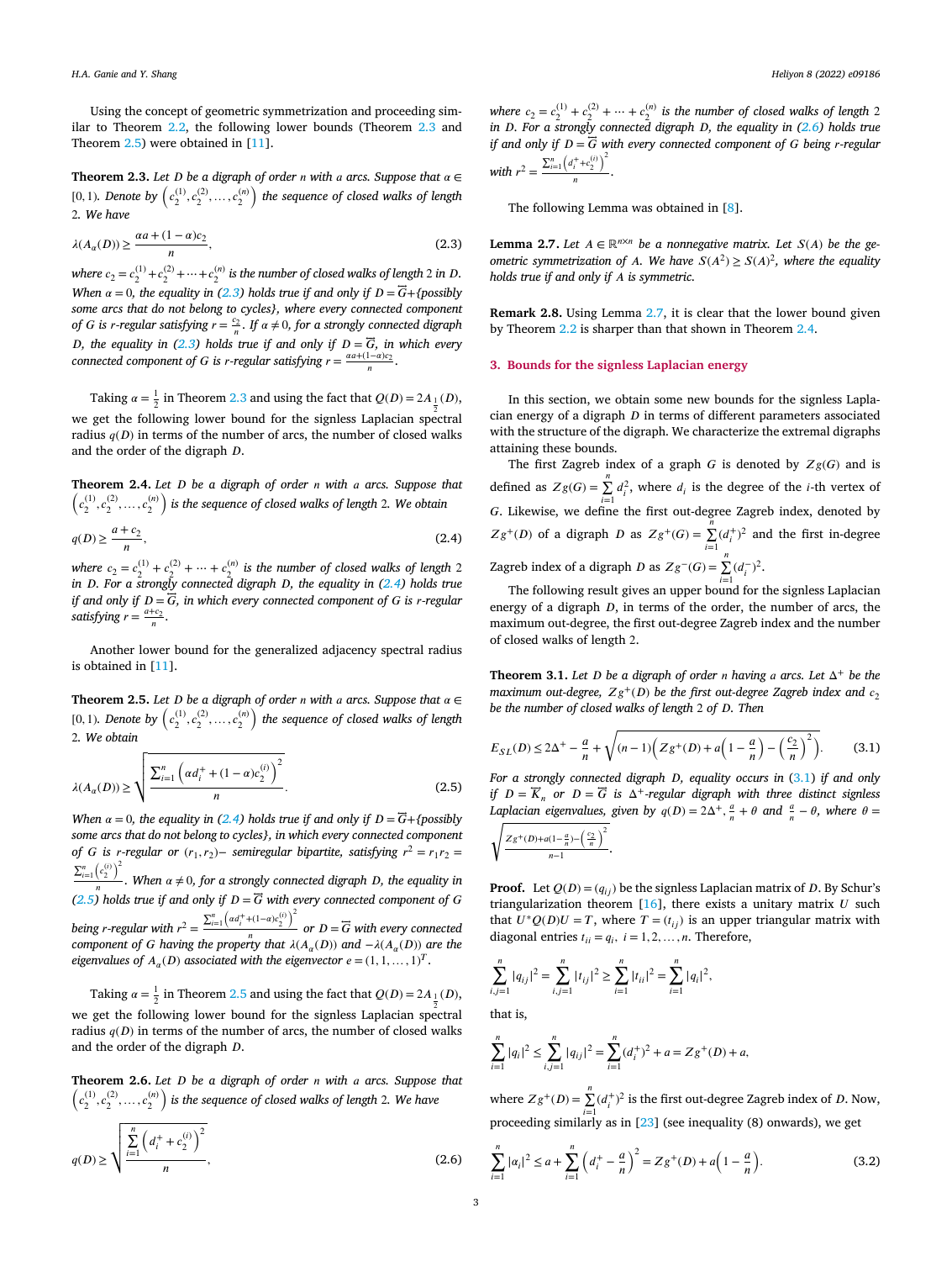<span id="page-3-0"></span>Using the concept of geometric symmetrization and proceeding similar to Theorem [2.2,](#page-2-0) the following lower bounds (Theorem 2.3 and Theorem 2.5) were obtained in [\[11](#page-6-0)].

**Theorem 2.3.** Let  $D$  be a digraph of order  $n$  with  $a$  arcs. Suppose that  $\alpha \in$ **Theorem 2.3.** Let D be a aigraph of order *n* with a arcs. Suppose that  $\alpha \in$  [0,1). Denote by  $(c_2^{(1)}, c_2^{(2)}, \ldots, c_2^{(n)})$  the sequence of closed walks of length 2*. We have*

$$
\lambda(A_{\alpha}(D)) \ge \frac{\alpha a + (1 - \alpha)c_2}{n},\tag{2.3}
$$

where  $c_2 = c_2^{(1)} + c_2^{(2)} + \cdots + c_2^{(n)}$  is the number of closed walks of length 2 in D. *When*  $\alpha = 0$ , *the equality in* (2.3) *holds true if and only if*  $D = \overline{G} + \{possibly\}$ *some arcs that do not belong to cycles}, where every connected component of G* is *r*-regular satisfying  $r = \frac{c_2}{n}$ . If  $\alpha \neq 0$ , for a strongly connected digraph *D*, the equality in (2.3) holds true if and only if  $D = \overline{G}$ , in which every *connected component of G* is *r*-regular satisfying  $r = \frac{a a + (1 - a)c_2}{n}$ .

Taking  $\alpha = \frac{1}{2}$  in Theorem 2.3 and using the fact that  $Q(D) = 2A_{\frac{1}{2}}(D)$ ,

2 we get the following lower bound for the signless Laplacian spectral radius  $q(D)$  in terms of the number of arcs, the number of closed walks and the order of the digraph  $D$ .

**Theorem 2.4.** *Let be a digraph of order with arcs. Suppose that* ( )  $\left(c^{(1)}_2, c^{(2)}_2, \ldots, c^{(n)}_2\right)$  is the sequence of closed walks of length 2. We obtain

$$
q(D) \ge \frac{a+c_2}{n},\tag{2.4}
$$

where  $c_2 = c_2^{(1)} + c_2^{(2)} + \cdots + c_2^{(n)}$  is the number of closed walks of length 2 in D. For a strongly connected digraph D, the equality in (2.4) holds true *if and only if* = *⃖⃖⃗, in which every connected component of is -regular satisfying*  $r = \frac{a+c_2}{n}$ .

Another lower bound for the generalized adjacency spectral radius is obtained in [\[11](#page-6-0)].

**Theorem 2.5.** Let  $D$  be a digraph of order  $n$  with  $a$  arcs. Suppose that  $\alpha \in$ **Theorem 2.5.** Let D be a digraph of order n with a arcs. Suppose that  $\alpha \in$  [0,1). Denote by  $\left(c_2^{(1)}, c_2^{(2)}, \ldots, c_2^{(n)}\right)$  the sequence of closed walks of length 2*. We obtain*

$$
\lambda(A_{\alpha}(D)) \ge \sqrt{\frac{\sum_{i=1}^{n} (\alpha d_i^+ + (1-\alpha)c_2^{(i)})^2}{n}}.
$$
\n(2.5)

*When*  $\alpha = 0$ , *the equality in* (2.4) *holds true if* and *only if*  $D = \overline{G} + \{possibly\}$ *some arcs that do not belong to cycles}, in which every connected component of G* is *r*-regular or  $(r_1, r_2)$  – *semiregular* bipartite, *satisfying*  $r^2 = r_1 r_2$  =  $\sum_{i=1}^{n} \left( c_2^{(i)} \right)$  $\sqrt{2}$  $\frac{1}{n}$ . When  $\alpha \neq 0$ , for a strongly connected digraph *D*, the equality in *(2.5) holds true if and only if*  $D = \overline{G}$  *with every connected component of*  $G$ *being r-regular with*  $r^2$  $=$  $\sum_{i=1}^{n} \left( \frac{\alpha d_i^+ + (1-\alpha)c_i^0}{n} \right)^2$  or  $D = \overline{G}$  with every connected *component of G having the property that*  $\lambda(A_\alpha(D))$  *and*  $-\lambda(A_\alpha(D))$  *are the eigenvalues* of  $A_{\alpha}(D)$  *associated with the eigenvector*  $e = (1, 1, ..., 1)^{T}$ .

Taking  $\alpha = \frac{1}{2}$  in Theorem 2.5 and using the fact that  $Q(D) = 2A_{\frac{1}{2}}(D)$ , 2 we get the following lower bound for the signless Laplacian spectral radius  $q(D)$  in terms of the number of arcs, the number of closed walks and the order of the digraph  $D$ .

**Theorem 2.6.** *Let be a digraph of order with arcs. Suppose that* ( )  $\left\{c^{(1)}_2, c^{(2)}_2, \ldots, c^{(n)}_2\right\}$  is the sequence of closed walks of length 2. We have

$$
q(D) \ge \sqrt{\frac{\sum_{i=1}^{n} (d_i^+ + c_2^{(i)})^2}{n}},
$$
\n(2.6)

*where*  $c_2 = c_2^{(1)} + c_2^{(2)} + \cdots + c_2^{(n)}$  *is the number of closed walks of length* 2 *in D. For a strongly connected digraph <i>D, the equality in* (2.6) *holds true if* and only if  $D = \overline{G}$  with every connected component of G being *r*-regular *with*  $r^2$  =  $\sum_{i=1}^{n} (d_i^+ + c_2^{(i)})$  $\sqrt{2}$  $\frac{n(2)}{n}$ .

The following Lemma was obtained in [\[8\]](#page-6-0).

**Lemma 2.7.** *Let*  $A \in \mathbb{R}^{n \times n}$  *be a nonnegative matrix. Let*  $S(A)$  *be the geometric symmetrization of A. We have*  $S(A^2) \ge S(A)^2$ , where the equality *holds true if and only if is symmetric.*

**Remark 2.8.** Using Lemma 2.7, it is clear that the lower bound given by Theorem [2.2](#page-2-0) is sharper than that shown in Theorem 2.4.

#### **3. Bounds for the signless Laplacian energy**

In this section, we obtain some new bounds for the signless Laplacian energy of a digraph  $D$  in terms of different parameters associated with the structure of the digraph. We characterize the extremal digraphs attaining these bounds.

The first Zagreb index of a graph  $G$  is denoted by  $Zg(G)$  and is defined as  $Zg(G) = \sum_{i=1}^{n} d_i^2$ , where  $d_i$  is the degree of the *i*-th vertex of G. Likewise, we define the first out-degree Zagreb index, denoted by  $Zg^+(D)$  of a digraph D as  $Zg^+(G) = \sum_{i=1}^n (d_i^+)^2$  and the first in-degree Zagreb index of a digraph *D* as  $Zg^-(G) = \sum_{i=1}^{n} (d_i^-)^2$ .

The following result gives an upper bound for the signless Laplacian energy of a digraph  $D$ , in terms of the order, the number of arcs, the maximum out-degree, the first out-degree Zagreb index and the number of closed walks of length 2.

**Theorem 3.1.** *Let D be a digraph of order n having a arcs. Let*  $\Delta^+$  *be the maximum out-degree,*  $Zg^{+}(D)$  *be the first out-degree Zagreb index and*  $c_2$ *be the number of closed walks of length* 2 *of . Then*

$$
E_{SL}(D) \le 2\Delta^{+} - \frac{a}{n} + \sqrt{(n-1)\left(Zg^{+}(D) + a\left(1 - \frac{a}{n}\right) - \left(\frac{c_2}{n}\right)^2\right)}.
$$
 (3.1)

*For a strongly connected digraph D*, *equality occurs in* (3.1) *if and only if*  $D = \overline{K}_n$  or  $D = \overline{G}$  *is*  $\Delta^+$ -regular digraph with three distinct signless *Laplacian eigenvalues, given by*  $q(D) = 2\Delta^+$ ,  $\frac{a}{n} + \theta$  *and*  $\frac{a}{n} - \theta$ *, where*  $\theta =$ 

$$
\sqrt{\frac{Zg^+(D)+a(1-\frac{a}{n})-\left(\frac{c_2}{n}\right)^2}{n-1}}.
$$

**Proof.** Let  $Q(D) = (q_{ij})$  be the signless Laplacian matrix of D. By Schur's triangularization theorem  $[16]$  $[16]$ , there exists a unitary matrix  $U$  such that  $U^*Q(D)U = T$ , where  $T = (t_{ij})$  is an upper triangular matrix with diagonal entries  $t_{ii} = q_i$ ,  $i = 1, 2, ..., n$ . Therefore,

$$
\sum_{i,j=1}^n |q_{ij}|^2 = \sum_{i,j=1}^n |t_{ij}|^2 \ge \sum_{i=1}^n |t_{ii}|^2 = \sum_{i=1}^n |q_i|^2,
$$

that is,

$$
\sum_{i=1}^{n} |q_i|^2 \le \sum_{i,j=1}^{n} |q_{ij}|^2 = \sum_{i=1}^{n} (d_i^+)^2 + a = Zg^+(D) + a,
$$

where  $Zg^+(D) = \sum_{i=1}^{n} (d_i^+)^2$  is the first out-degree Zagreb index of D. Now, proceeding similarly as in [\[23](#page-6-0)] (see inequality (8) onwards), we get

$$
\sum_{i=1}^{n} |\alpha_i|^2 \le a + \sum_{i=1}^{n} \left(d_i^+ - \frac{a}{n}\right)^2 = Zg^+(D) + a\left(1 - \frac{a}{n}\right).
$$
 (3.2)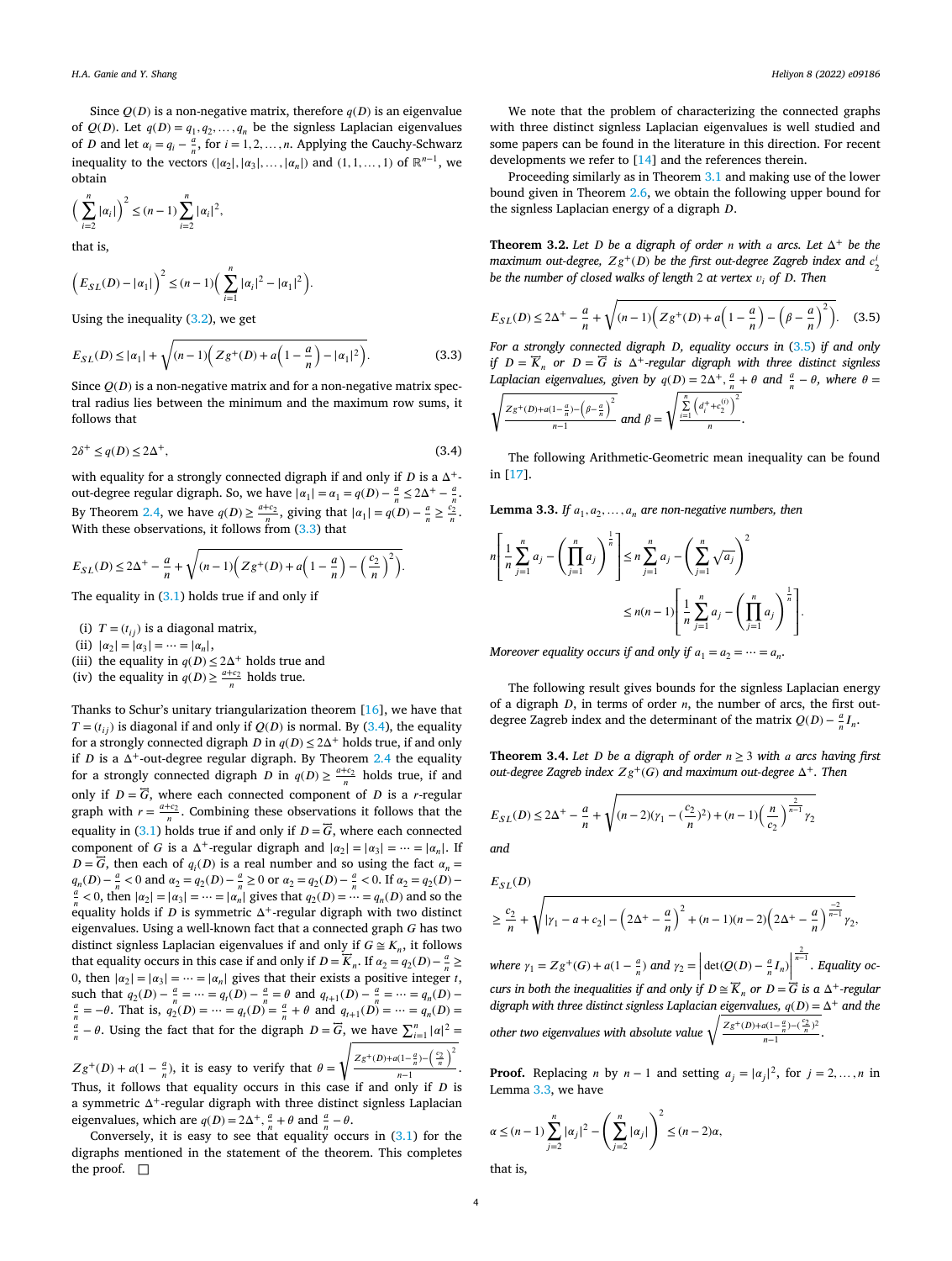<span id="page-4-0"></span>Since  $Q(D)$  is a non-negative matrix, therefore  $q(D)$  is an eigenvalue of  $Q(D)$ . Let  $q(D) = q_1, q_2, \ldots, q_n$  be the signless Laplacian eigenvalues of *D* and let  $\alpha_i = q_i - \frac{a}{n}$ , for  $i = 1, 2, ..., n$ . Applying the Cauchy-Schwarz inequality to the vectors  $(|\alpha_2|, |\alpha_3|, \ldots, |\alpha_n|)$  and  $(1, 1, \ldots, 1)$  of  $\mathbb{R}^{n-1}$ , we obtain

$$
\left(\sum_{i=2}^n |\alpha_i|\right)^2 \le (n-1) \sum_{i=2}^n |\alpha_i|^2,
$$

that is,

$$
\left(E_{SL}(D) - |\alpha_1|\right)^2 \le (n-1)\left(\sum_{i=1}^n |\alpha_i|^2 - |\alpha_1|^2\right).
$$

Using the inequality  $(3.2)$  $(3.2)$ , we get

$$
E_{SL}(D) \le |\alpha_1| + \sqrt{(n-1)\left(Zg^+(D) + a\left(1 - \frac{a}{n}\right) - |\alpha_1|^2\right)}.
$$
 (3.3)

Since  $Q(D)$  is a non-negative matrix and for a non-negative matrix spectral radius lies between the minimum and the maximum row sums, it follows that

$$
2\delta^+ \le q(D) \le 2\Delta^+, \tag{3.4}
$$

with equality for a strongly connected digraph if and only if  $D$  is a  $\Delta^+$ out-degree regular digraph. So, we have  $|\alpha_1| = \alpha_1 = q(D) - \frac{a}{n} \le 2\Delta^+ - \frac{a}{n}$ . By Theorem [2.4,](#page-3-0) we have  $q(D) \ge \frac{a+c_2}{n}$ , giving that  $|\alpha_1| = q(D) - \frac{a}{n} \ge \frac{c_2}{n}$ . With these observations, it follows from  $(3.3)$  that

$$
E_{SL}(D) \le 2\Delta^+ - \frac{a}{n} + \sqrt{(n-1)\left(Zg^+(D) + a\left(1 - \frac{a}{n}\right) - \left(\frac{c_2}{n}\right)^2\right)}.
$$

The equality in  $(3.1)$  holds true if and only if

- (i)  $T = (t_{ij})$  is a diagonal matrix,
- (ii)  $|\alpha_2| = |\alpha_3| = \cdots = |\alpha_n|$ ,
- (iii) the equality in  $q(D) \leq 2\Delta^+$  holds true and
- (iv) the equality in  $q(D) \ge \frac{a+c_2}{n}$  holds true.

Thanks to Schur's unitary triangularization theorem [\[16](#page-6-0)], we have that  $T = (t_{ii})$  is diagonal if and only if  $O(D)$  is normal. By (3.4), the equality for a strongly connected digraph  $D$  in  $q(D) \le 2\Delta^+$  holds true, if and only if  $D$  is a  $\Delta^+$ -out-degree regular digraph. By Theorem [2.4](#page-3-0) the equality for a strongly connected digraph *D* in  $q(D) \ge \frac{a+c_2}{n}$  holds true, if and only if  $D = \overline{G}$ , where each connected component of  $D$  is a *r*-regular graph with  $r = \frac{a+c_2}{n}$ . Combining these observations it follows that the equality in  $(3.1)$  $(3.1)$  $(3.1)$  holds true if and only if  $D = \overrightarrow{G}$ , where each connected component of G is a  $\Delta^+$ -regular digraph and  $|\alpha_2| = |\alpha_3| = \cdots = |\alpha_n|$ . If  $D = \overline{G}$ , then each of  $q_i(D)$  is a real number and so using the fact  $\alpha_n =$  $q_n(D) - \frac{a}{n} < 0$  and  $\alpha_2 = q_2(D) - \frac{a}{n} \ge 0$  or  $\alpha_2 = q_2(D) - \frac{a}{n} < 0$ . If  $\alpha_2 = q_2(D) - \frac{a}{n} < 0$ , then  $|\alpha_2| = |\alpha_2| = |\alpha_1|$  gives that  $\alpha(D) = \frac{a}{n} < 0$  and so the  $\frac{a}{n}$  < 0, then  $|\alpha_2| = |\alpha_3| = \cdots = |\alpha_n|$  gives that  $q_2(D) = \cdots = q_n(D)$  and so the equality holds if  $D$  is symmetric  $\Delta^+$ -regular digraph with two distinct eigenvalues. Using a well-known fact that a connected graph  $G$  has two distinct signless Laplacian eigenvalues if and only if  $G \cong K_n$ , it follows that equality occurs in this case if and only if  $D = \overline{K}_n$ . If  $\alpha_2 = q_2(D) - \frac{a}{n} \ge$ 0, then  $|\alpha_2| = |\alpha_3| = \cdots = |\alpha_n|$  gives that their exists a positive integer t, such that  $q_2(D) - \frac{a}{n} = \dots = q_i(D) - \frac{a}{n} = \theta$  and  $q_{i+1}(D) - \frac{a}{n} = \dots = q_n(D) - \frac{a}{n} = \dots = q_n(D) - \frac{a}{n} = \dots = q_i(D) - \frac{a}{n} = \dots = q_i(D) - \frac{a}{n} = \dots = q_i(D) - \frac{a}{n} = \dots = q_i(D) - \frac{a}{n} = \dots = q_i(D) - \frac{a}{n} = \dots = q_i(D) - \frac{a}{n} = \dots = q_i(D) - \frac{a}{n} = \dots = q_i(D) - \frac$  $\frac{a}{n} = -\theta$ . That is,  $q_2^{n}(D) = \dots = q_t(D) = \frac{a}{n} + \theta$  and  $q_{t+1}(D) = \dots = q_n(D) =$  $\frac{a}{n} - \theta$ . Using the fact that for the digraph  $D = \overline{G}$ , we have  $\sum_{i=1}^{n} |\alpha|^2 =$  $\sqrt{2}$ 

 $Zg^+(D) + a(1 - \frac{a}{n})$ , it is easy to verify that  $\theta = \sqrt{\frac{Zg^+(D) + a(1 - \frac{a}{n}) - (\frac{c_2}{n})^2}{n-1}}$  $\frac{n(n+1)}{n-1}$ . Thus, it follows that equality occurs in this case if and only if  $D$  is a symmetric  $\Delta^+$ -regular digraph with three distinct signless Laplacian eigenvalues, which are  $q(D) = 2\Delta^+$ ,  $\frac{a}{n} + \theta$  and  $\frac{a}{n} - \theta$ .

Conversely, it is easy to see that equality occurs in  $(3.1)$  $(3.1)$  for the digraphs mentioned in the statement of the theorem. This completes the proof.  $\square$ 

We note that the problem of characterizing the connected graphs with three distinct signless Laplacian eigenvalues is well studied and some papers can be found in the literature in this direction. For recent developments we refer to [[14\]](#page-6-0) and the references therein.

Proceeding similarly as in Theorem [3.1](#page-3-0) and making use of the lower bound given in Theorem [2.6,](#page-3-0) we obtain the following upper bound for the signless Laplacian energy of a digraph  $D$ .

**Theorem 3.2.** *Let D be a digraph of order n* with *a arcs. Let*  $\Delta^+$  *be the*  $\frac{1}{2}$  *maximum* out-degree,  $Zg^+(D)$  be the first out-degree Zagreb index and  $c_2^i$ *be the number of closed walks of length* 2 *at vertex*  $v_i$  *of*  $D$ *. Then* 

$$
E_{SL}(D) \le 2\Delta^{+} - \frac{a}{n} + \sqrt{(n-1)\left(Zg^{+}(D) + a\left(1 - \frac{a}{n}\right) - \left(\beta - \frac{a}{n}\right)^{2}\right)}.
$$
 (3.5)

*For a strongly connected digraph D*, *equality occurs in* (3.5) *if and only if*  $D = \overline{K}_n$  or  $D = \overline{G}$  *is*  $\Delta^+$ -regular digraph with three distinct signless *Laplacian eigenvalues, given by*  $q(D) = 2\Delta^+$ ,  $\frac{a}{n} + \theta$  *and*  $\frac{a}{n} - \theta$ *, where*  $\theta =$ 

$$
\sqrt{\frac{Zg^+(D)+a(1-\frac{a}{n})-\left(\beta-\frac{a}{n}\right)^2}{n-1}} \text{ and } \beta=\sqrt{\frac{\sum\limits_{i=1}^n \left(d_i^++c_2^{(i)}\right)^2}{n}}.
$$

The following Arithmetic-Geometric mean inequality can be found in [\[17](#page-6-0)].

**Lemma** 3.3. If  $a_1, a_2, \ldots, a_n$  are non-negative numbers, then

$$
n\left[\frac{1}{n}\sum_{j=1}^{n}a_{j} - \left(\prod_{j=1}^{n}a_{j}\right)^{\frac{1}{n}}\right] \leq n\sum_{j=1}^{n}a_{j} - \left(\sum_{j=1}^{n}\sqrt{a_{j}}\right)^{2}
$$
  

$$
\leq n(n-1)\left[\frac{1}{n}\sum_{j=1}^{n}a_{j} - \left(\prod_{j=1}^{n}a_{j}\right)^{\frac{1}{n}}\right].
$$

*Moreover equality occurs if and only if*  $a_1 = a_2 = \cdots = a_n$ .

The following result gives bounds for the signless Laplacian energy of a digraph  $D$ , in terms of order  $n$ , the number of arcs, the first outdegree Zagreb index and the determinant of the matrix  $Q(D) - \frac{a}{n} I_n$ .

**Theorem 3.4.** *Let D be a* digraph of order  $n \geq 3$  with *a* arcs having first *out-degree Zagreb index*  $Zg^+(G)$  *and maximum out-degree*  $\Delta^+$ *. Then* 

$$
E_{SL}(D) \le 2\Delta^{+} - \frac{a}{n} + \sqrt{(n-2)(\gamma_1 - (\frac{c_2}{n})^2) + (n-1)(\frac{n}{c_2})^{\frac{2}{n-1}}\gamma_2}
$$
  
and

$$
E_{SL}(D)
$$
  
\n
$$
\geq \frac{c_2}{n} + \sqrt{| \gamma_1 - a + c_2 |} - \left(2\Delta^+ - \frac{a}{n}\right)^2 + (n-1)(n-2)\left(2\Delta^+ - \frac{a}{n}\right)^{\frac{-2}{n-1}} \gamma_2,
$$
  
\nwhere  $\gamma_1 = Zg^+(G) + a(1 - \frac{a}{n})$  and  $\gamma_2 = \left|\det(Q(D) - \frac{a}{n}I_n)\right|^{\frac{2}{n-1}}$ . Equality occurs in both the inequalities if and only if  $D \cong \overline{K}_n$  or  $D = \overline{G}$  is a  $\Delta^+$ -regular digraph with three distinct signals Laplacian eigenvalues,  $q(D) = \Delta^+$  and the other two eigenvalues with absolute value  $\sqrt{\frac{Zg^+(D) + a(1 - \frac{a}{n}) - (\frac{C^2}{n})^2}{n-1}}$ .

**Proof.** Replacing *n* by  $n - 1$  and setting  $a_j = |\alpha_j|^2$ , for  $j = 2, ..., n$  in Lemma 3.3, we have

$$
\alpha \le (n-1)\sum_{j=2}^n |\alpha_j|^2 - \left(\sum_{j=2}^n |\alpha_j|\right)^2 \le (n-2)\alpha,
$$

that is,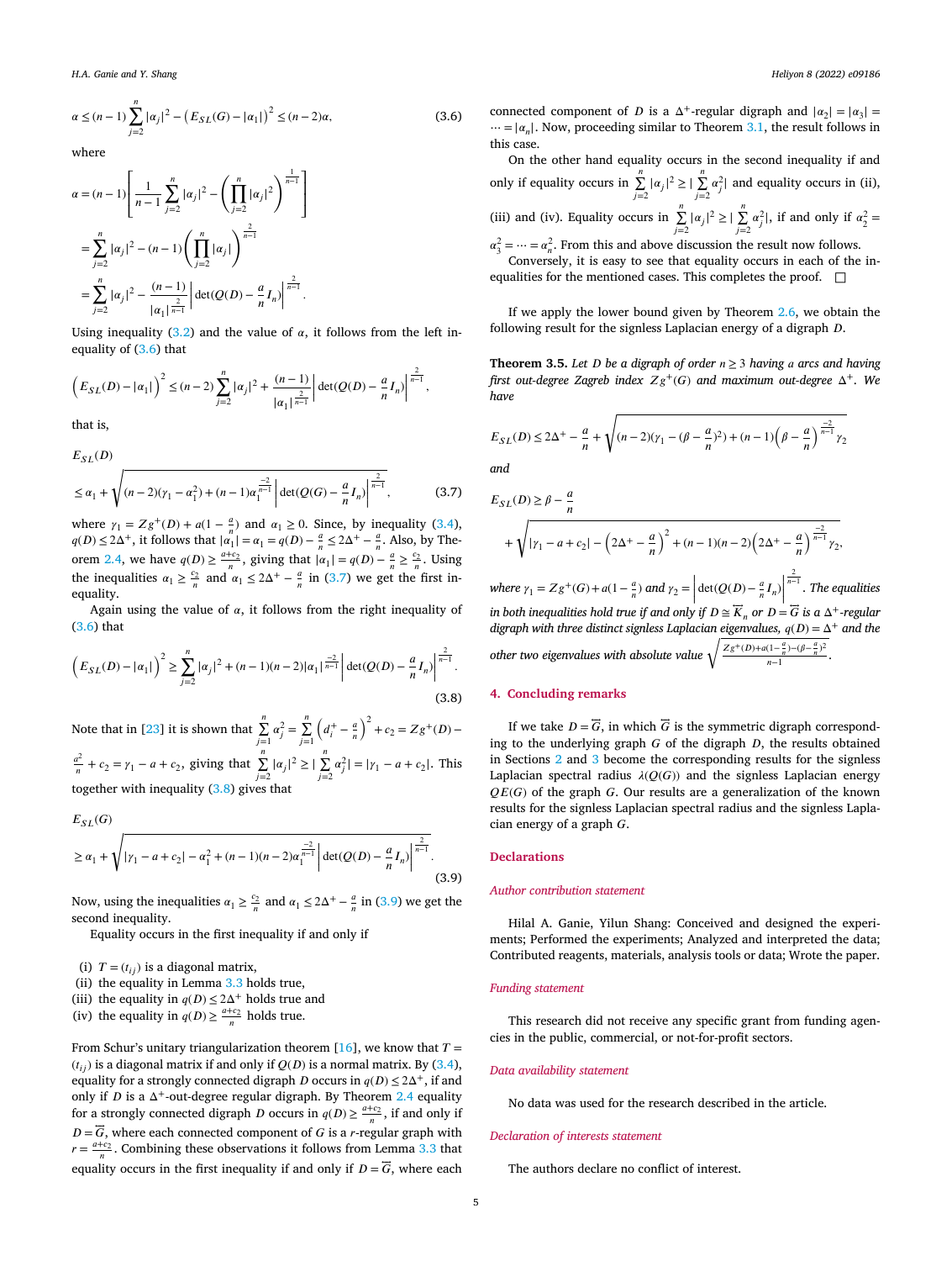$$
\alpha \le (n-1)\sum_{j=2}^{n} |\alpha_j|^2 - \left(E_{SL}(G) - |\alpha_1|\right)^2 \le (n-2)\alpha,
$$
\n(3.6)

where

$$
\alpha = (n-1) \left[ \frac{1}{n-1} \sum_{j=2}^{n} |\alpha_j|^2 - \left( \prod_{j=2}^{n} |\alpha_j|^2 \right)^{\frac{1}{n-1}} \right]
$$
  
= 
$$
\sum_{j=2}^{n} |\alpha_j|^2 - (n-1) \left( \prod_{j=2}^{n} |\alpha_j| \right)^{\frac{2}{n-1}}
$$
  
= 
$$
\sum_{j=2}^{n} |\alpha_j|^2 - \frac{(n-1)}{|\alpha_1|^{\frac{2}{n-1}}} \left| \det(Q(D) - \frac{a}{n} I_n) \right|^{\frac{2}{n-1}}.
$$

Using inequality [\(3.2\)](#page-3-0) and the value of  $\alpha$ , it follows from the left inequality of (3.6) that

$$
\left(E_{SL}(D) - |\alpha_1|\right)^2 \le (n-2)\sum_{j=2}^n |\alpha_j|^2 + \frac{(n-1)}{|\alpha_1|^{\frac{2}{n-1}}} \left|\det(Q(D) - \frac{a}{n}I_n)\right|^{\frac{2}{n-1}},
$$

that is,

$$
E_{SL}(D)
$$
  
\n
$$
\leq \alpha_1 + \sqrt{(n-2)(\gamma_1 - \alpha_1^2) + (n-1)\alpha_1^{\frac{-2}{n-1}}} \left| \det(Q(G) - \frac{a}{n}I_n) \right|^{\frac{2}{n-1}},
$$
\n(3.7)

where  $\gamma_1 = Zg^+(D) + a(1 - \frac{a}{n})$  and  $\alpha_1 \ge 0$ . Since, by inequality [\(3.4\)](#page-4-0),  $q(D) \le 2\Delta^+$ , it follows that  $|\alpha_1| = \alpha_1 = q(D) - \frac{a}{n} \le 2\Delta^+ - \frac{a}{n}$ . Also, by The-orem [2.4,](#page-3-0) we have  $q(D) \ge \frac{a+c_2}{n}$ , giving that  $|\alpha_1| = q(D) - \frac{a}{n} \ge \frac{c_2}{n}$ . Using the inequalities  $\alpha_1 \ge \frac{c_2}{n}$  and  $\alpha_1 \le 2\Delta^+ - \frac{a}{n}$  in (3.7) we get the first inequality.

Again using the value of  $\alpha$ , it follows from the right inequality of (3.6) that

$$
\left(E_{SL}(D) - |\alpha_1|\right)^2 \ge \sum_{j=2}^n |\alpha_j|^2 + (n-1)(n-2)|\alpha_1|^{\frac{-2}{n-1}} \left|\det(Q(D) - \frac{a}{n}I_n)\right|^{\frac{2}{n-1}}.\tag{3.8}
$$

Note that in [\[23](#page-6-0)] it is shown that  $\sum_{j=1}^{n} \alpha_j^2 = \sum_{j=1}^{n}$  $\overline{\phantom{a}}$  $d_i^+ - \frac{a}{n}$  $\sqrt{2}$  $+ c_2 = Zg^+(D) \frac{a^2}{n} + c_2 = \gamma_1 - a + c_2$ , giving that  $\sum_{j=2}^{n} |\alpha_j|^2 \ge |\sum_{j=2}^{n} |\alpha_j|^2$  $\sum_{j=2}^{\infty} \alpha_j^2 = |\gamma_1 - a + c_2|$ . This together with inequality (3.8) gives that

$$
E_{SL}(G)
$$
  
\n
$$
\geq \alpha_1 + \sqrt{| \gamma_1 - a + c_2 | - \alpha_1^2 + (n-1)(n-2)\alpha_1^{\frac{-2}{n-1}}} \left| \det(Q(D) - \frac{a}{n} I_n) \right|^{\frac{2}{n-1}}.
$$
\n(3.9)

Now, using the inequalities  $\alpha_1 \ge \frac{c_2}{n}$  and  $\alpha_1 \le 2\Delta^+ - \frac{a}{n}$  in (3.9) we get the second inequality.

Equality occurs in the first inequality if and only if

(i)  $T = (t_{ii})$  is a diagonal matrix,

(ii) the equality in Lemma [3.3](#page-4-0) holds true,

(iii) the equality in  $q(D) \leq 2\Delta^+$  holds true and

(iv) the equality in  $q(D) \ge \frac{a+c_2}{n}$  holds true.

From Schur's unitary triangularization theorem [\[16](#page-6-0)], we know that  $T =$  $(t_{ij})$  is a diagonal matrix if and only if  $Q(D)$  is a normal matrix. By [\(3.4\)](#page-4-0), equality for a strongly connected digraph  $D$  occurs in  $q(D) \le 2\Delta^+$ , if and only if  $D$  is a  $\Delta^+$ -out-degree regular digraph. By Theorem [2.4](#page-3-0) equality for a strongly connected digraph *D* occurs in  $q(D) \ge \frac{a+c_2}{n}$ , if and only if  $D=\overrightarrow{G},$  where each connected component of  $G$  is a  $r$  -regular graph with  $r = \frac{a+c_2}{n}$ . Combining these observations it follows from Lemma [3.3](#page-4-0) that equality occurs in the first inequality if and only if  $D = \overline{G}$ , where each

connected component of *D* is a  $\Delta^+$ -regular digraph and  $|\alpha_2| = |\alpha_3|$  =  $\cdots = |\alpha_n|$ . Now, proceeding similar to Theorem [3.1](#page-3-0), the result follows in this case.

On the other hand equality occurs in the second inequality if and only if equality occurs in  $\sum_{j=2}^{n} |\alpha_j|^2 \ge |\sum_{j=2}^{n} |\alpha_j|^2$  $\sum_{j=2} \alpha_j^2$  and equality occurs in (ii), (iii) and (iv). Equality occurs in  $\sum_{j=2}^{n} |\alpha_j|^2 \ge |\sum_{j=2}^{n} |\alpha_j|^2$  $\sum_{j=2}^{\infty} \alpha_j^2$ , if and only if  $\alpha_2^2 =$ 

 $\alpha_3^2 = \dots = \alpha_n^2$ . From this and above discussion the result now follows.

Conversely, it is easy to see that equality occurs in each of the inequalities for the mentioned cases. This completes the proof.  $\square$ 

If we apply the lower bound given by Theorem  $2.6$ , we obtain the following result for the signless Laplacian energy of a digraph  $D$ .

**Theorem 3.5.** *Let D be a digraph of order*  $n \geq 3$  *having a arcs and having first out-degree Zagreb index*  $Zg^+(G)$  *and maximum out-degree*  $\Delta^+$ *. We have*

$$
E_{SL}(D) \le 2\Delta^{+} - \frac{a}{n} + \sqrt{(n-2)(\gamma_1 - (\beta - \frac{a}{n})^2) + (n-1)\left(\beta - \frac{a}{n}\right)^{\frac{-2}{n-1}}\gamma_2}
$$

*and*

$$
E_{SL}(D) \ge \beta - \frac{a}{n}
$$
  
+  $\sqrt{| \gamma_1 - a + c_2 | - (2\Delta^+ - \frac{a}{n})^2 + (n-1)(n-2)(2\Delta^+ - \frac{a}{n})^{\frac{-2}{n-1}} \gamma_2}$ 

*where*  $\gamma_1 = Zg^+(G) + a(1 - \frac{a}{n})$  *and*  $\gamma_2 = \left| \det(Q(D) - \frac{a}{n}I_n) \right|$ 2 −1 *. The equalities in both inequalities hold true if and only if*  $D \cong \overline{K}_n$  *or*  $D = \overline{G}$  *is*  $a \Delta^+$ *-regular* digraph with three distinct signless Laplacian eigenvalues,  $q(D) = \Delta^+$  and the other two eigenvalues with absolute value  $\sqrt{\frac{Zg^+(D)+a(1-\frac{a}{n})-(\beta-\frac{a}{n})^2}{n-1}}$ .

#### **4. Concluding remarks**

If we take  $D = \overline{G}$ , in which  $\overline{G}$  is the symmetric digraph corresponding to the underlying graph  $G$  of the digraph  $D$ , the results obtained in Sections [2](#page-2-0) and [3](#page-3-0) become the corresponding results for the signless Laplacian spectral radius  $\lambda(Q(G))$  and the signless Laplacian energy  $QE(G)$  of the graph G. Our results are a generalization of the known results for the signless Laplacian spectral radius and the signless Laplacian energy of a graph  $G$ .

#### **Declarations**

#### *Author contribution statement*

Hilal A. Ganie, Yilun Shang: Conceived and designed the experiments; Performed the experiments; Analyzed and interpreted the data; Contributed reagents, materials, analysis tools or data; Wrote the paper.

#### *Funding statement*

This research did not receive any specific grant from funding agencies in the public, commercial, or not-for-profit sectors.

#### *Data availability statement*

No data was used for the research described in the article.

#### *Declaration of interests statement*

The authors declare no conflict of interest.